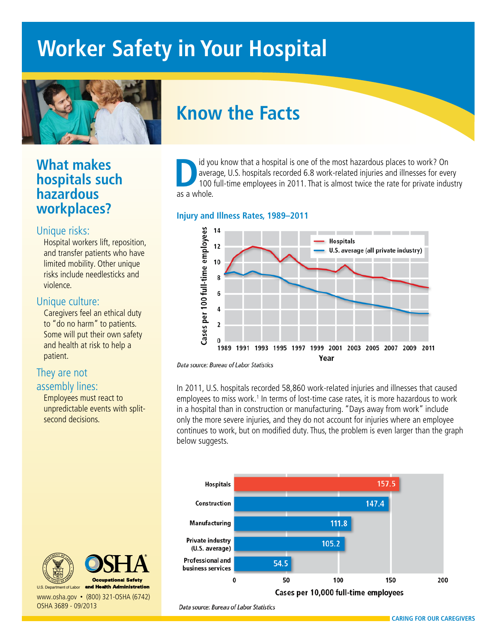# **Worker Safety in Your Hospital**



### **What makes hospitals such hazardous workplaces?**

#### Unique risks:

Hospital workers lift, reposition, and transfer patients who have limited mobility. Other unique risks include needlesticks and violence.

#### Unique culture:

Caregivers feel an ethical duty to "do no harm" to patients. Some will put their own safety and health at risk to help a patient.

### They are not

#### assembly lines:

Employees must react to unpredictable events with splitsecond decisions.

# **Know the Facts**

ID id you know that a hospital is one of the most hazardous places to work? On average, U.S. hospitals recorded 6.8 work-related injuries and illnesses for every 100 full-time employees in 2011. That is almost twice the ra average, U.S. hospitals recorded 6.8 work-related injuries and illnesses for every as a whole.

#### **Injury and Illness Rates, 1989–2011**



Data source: Bureau of Labor Statistics

In 2011, U.S. hospitals recorded 58,860 work-related injuries and illnesses that caused employees to miss work.<sup>1</sup> In terms of lost-time case rates, it is more hazardous to work in a hospital than in construction or manufacturing. "Days away from work" include only the more severe injuries, and they do not account for injuries where an employee continues to work, but on modified duty. Thus, the problem is even larger than the graph below suggests.



Data source: Bureau of Labor Statistics







U.S. Department of Labor www.osha.gov • (800) 321-OSHA (6742) OSHA 3689 - 09/2013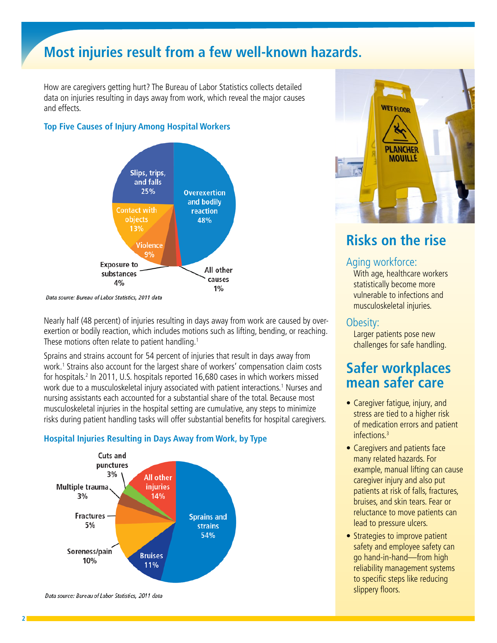## **Most injuries result from a few well-known hazards.**

How are caregivers getting hurt? The Bureau of Labor Statistics collects detailed data on injuries resulting in days away from work, which reveal the major causes and effects.

#### **Top Five Causes of Injury Among Hospital Workers**



Data source: Bureau of Labor Statistics, 2011 data

Nearly half (48 percent) of injuries resulting in days away from work are caused by overexertion or bodily reaction, which includes motions such as lifting, bending, or reaching. These motions often relate to patient handling.<sup>1</sup>

Sprains and strains account for 54 percent of injuries that result in days away from work.<sup>1</sup> Strains also account for the largest share of workers' compensation claim costs for hospitals.2 In 2011, U.S. hospitals reported 16,680 cases in which workers missed work due to a musculoskeletal injury associated with patient interactions.<sup>1</sup> Nurses and nursing assistants each accounted for a substantial share of the total. Because most musculoskeletal injuries in the hospital setting are cumulative, any steps to minimize risks during patient handling tasks will offer substantial benefits for hospital caregivers.



#### **Hospital Injuries Resulting in Days Away from Work, by Type**

Data source: Bureau of Labor Statistics, 2011 data



### **Risks on the rise**

#### Aging workforce:

With age, healthcare workers statistically become more vulnerable to infections and musculoskeletal injuries.

#### Obesity:

Larger patients pose new challenges for safe handling.

### **Safer workplaces mean safer care**

- Caregiver fatigue, injury, and stress are tied to a higher risk of medication errors and patient infections.3
- Caregivers and patients face many related hazards. For example, manual lifting can cause caregiver injury and also put patients at risk of falls, fractures, bruises, and skin tears. Fear or reluctance to move patients can lead to pressure ulcers.
- Strategies to improve patient safety and employee safety can go hand-in-hand—from high reliability management systems to specific steps like reducing slippery floors.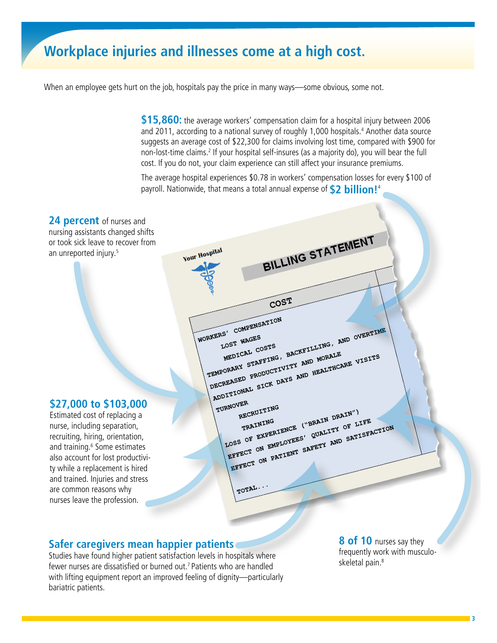### **Workplace injuries and illnesses come at a high cost.**

When an employee gets hurt on the job, hospitals pay the price in many ways—some obvious, some not.

**\$15,860:** the average workers' compensation claim for a hospital injury between 2006 and 2011, according to a national survey of roughly 1,000 hospitals.<sup>4</sup> Another data source suggests an average cost of \$22,300 for claims involving lost time, compared with \$900 for non-lost-time claims.<sup>2</sup> If your hospital self-insures (as a majority do), you will bear the full cost. If you do not, your claim experience can still affect your insurance premiums.

The average hospital experiences \$0.78 in workers' compensation losses for every \$100 of payroll. Nationwide, that means a total annual expense of **\$2 billion!**<sup>4</sup>



#### **Safer caregivers mean happier patients**

Studies have found higher patient satisfaction levels in hospitals where fewer nurses are dissatisfied or burned out.<sup>7</sup> Patients who are handled with lifting equipment report an improved feeling of dignity—particularly bariatric patients.

**8 of 10** nurses say they frequently work with musculoskeletal pain.<sup>8</sup>